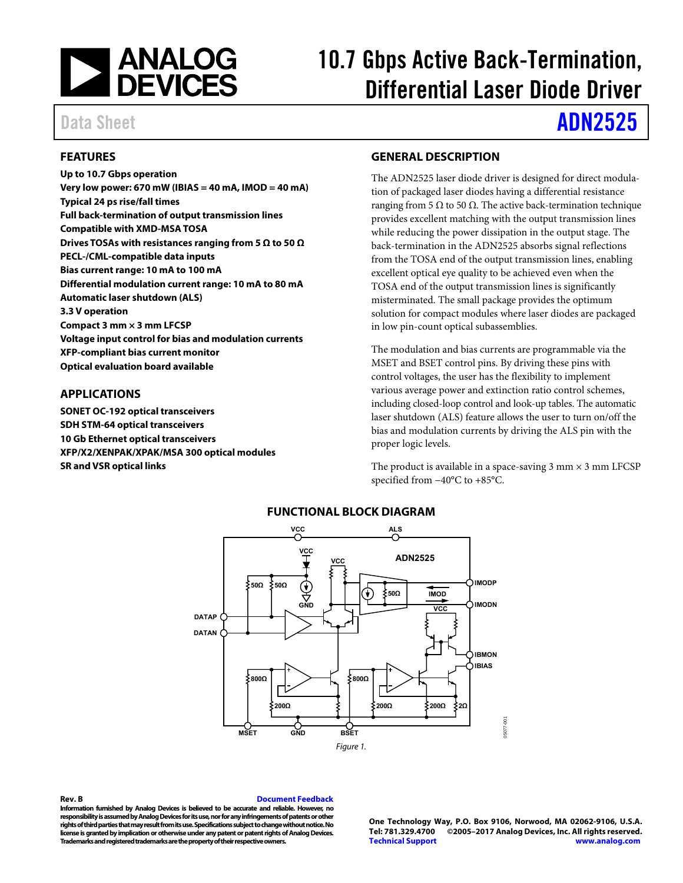

# 10.7 Gbps Active Back-Termination, Differential Laser Diode Driver

# Data Sheet **[ADN2525](http://www.analog.com/ADN2525?doc=ADN2525.pdf)**

## <span id="page-0-0"></span>**FEATURES**

**Up to 10.7 Gbps operation Very low power: 670 mW (IBIAS = 40 mA, IMOD = 40 mA) Typical 24 ps rise/fall times Full back-termination of output transmission lines Compatible with XMD-MSA TOSA Drives TOSAs with resistances ranging from 5 Ω to 50 Ω PECL-/CML-compatible data inputs Bias current range: 10 mA to 100 mA Differential modulation current range: 10 mA to 80 mA Automatic laser shutdown (ALS) 3.3 V operation Compact 3 mm × 3 mm LFCSP Voltage input control for bias and modulation currents XFP-compliant bias current monitor Optical evaluation board available** 

#### <span id="page-0-1"></span>**APPLICATIONS**

<span id="page-0-3"></span>**SONET OC-192 optical transceivers SDH STM-64 optical transceivers 10 Gb Ethernet optical transceivers XFP/X2/XENPAK/XPAK/MSA 300 optical modules SR and VSR optical links** 

#### <span id="page-0-2"></span>**GENERAL DESCRIPTION**

The ADN2525 laser diode driver is designed for direct modulation of packaged laser diodes having a differential resistance ranging from 5 Ω to 50  $Ω$ . The active back-termination technique provides excellent matching with the output transmission lines while reducing the power dissipation in the output stage. The back-termination in the ADN2525 absorbs signal reflections from the TOSA end of the output transmission lines, enabling excellent optical eye quality to be achieved even when the TOSA end of the output transmission lines is significantly misterminated. The small package provides the optimum solution for compact modules where laser diodes are packaged in low pin-count optical subassemblies.

The modulation and bias currents are programmable via the MSET and BSET control pins. By driving these pins with control voltages, the user has the flexibility to implement various average power and extinction ratio control schemes, including closed-loop control and look-up tables. The automatic laser shutdown (ALS) feature allows the user to turn on/off the bias and modulation currents by driving the ALS pin with the proper logic levels.

The product is available in a space-saving  $3$  mm  $\times$   $3$  mm LFCSP specified from −40°C to +85°C.



#### **FUNCTIONAL BLOCK DIAGRAM**

<span id="page-0-4"></span>**Rev. B [Document Feedback](https://form.analog.com/Form_Pages/feedback/documentfeedback.aspx?doc=ADN2525.pdf&product=ADN2525&rev=b)  Information furnished by Analog Devices is believed to be accurate and reliable. However, no responsibility is assumed by Analog Devices for its use, nor for any infringements of patents or other rights of third parties that may result from its use. Specifications subject to change without notice. No license is granted by implication or otherwise under any patent or patent rights of Analog Devices. Trademarks and registered trademarks are the property of their respective owners.** 

**One Technology Way, P.O. Box 9106, Norwood, MA 02062-9106, U.S.A. Tel: 781.329.4700 ©2005–2017 Analog Devices, Inc. All rights reserved. [Technical Support](http://www.analog.com/en/content/technical_support_page/fca.html) [www.analog.com](http://www.analog.com/)**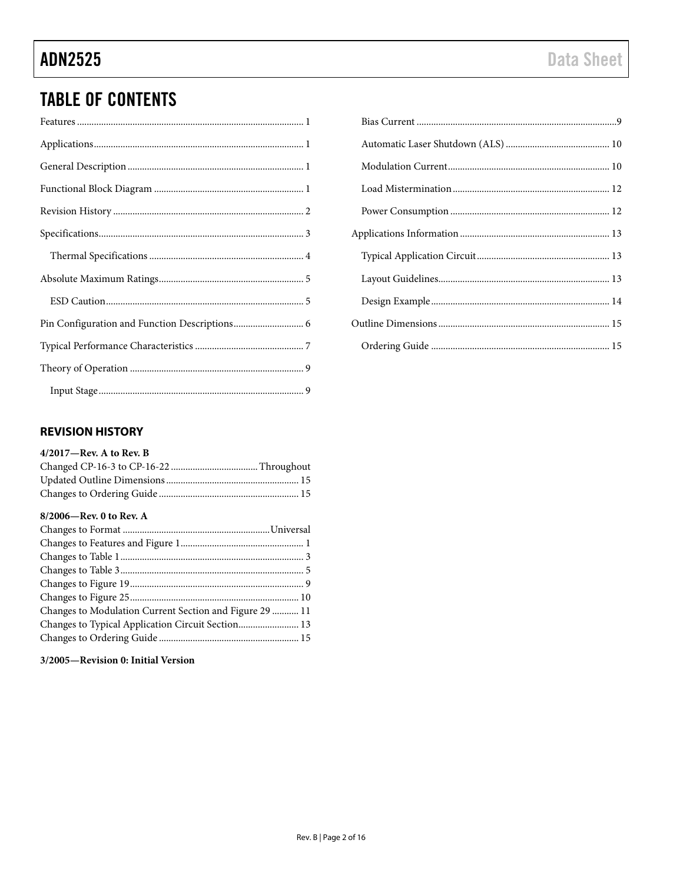# **TABLE OF CONTENTS**

# 

## <span id="page-1-0"></span>**REVISION HISTORY**

| $4/2017$ —Rev. A to Rev. B |  |
|----------------------------|--|
|----------------------------|--|

## 8/2006-Rev. 0 to Rev. A

| Changes to Modulation Current Section and Figure 29  11 |  |
|---------------------------------------------------------|--|
| Changes to Typical Application Circuit Section 13       |  |
|                                                         |  |

## 3/2005-Revision 0: Initial Version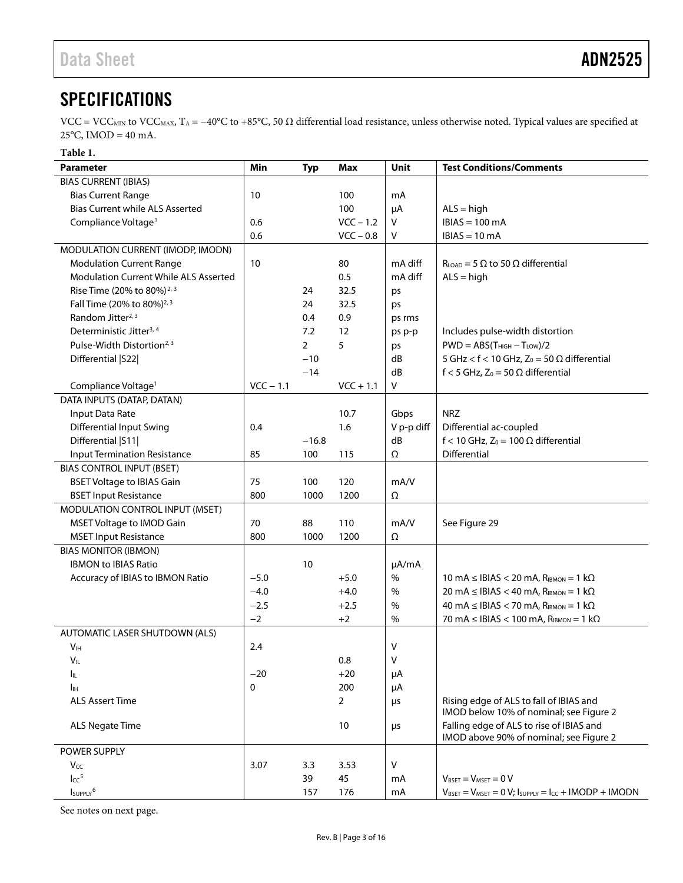# <span id="page-2-0"></span>**SPECIFICATIONS**

VCC = VCC<sub>MIN</sub> to VCC<sub>MAX</sub>, T<sub>A</sub> = −40°C to +85°C, 50 Ω differential load resistance, unless otherwise noted. Typical values are specified at  $25^{\circ}$ C, IMOD = 40 mA.

#### <span id="page-2-1"></span>**Table 1.**

| <b>Parameter</b>                       | Min         | <b>Typ</b>     | Max            | Unit         | <b>Test Conditions/Comments</b>                                                                               |
|----------------------------------------|-------------|----------------|----------------|--------------|---------------------------------------------------------------------------------------------------------------|
| <b>BIAS CURRENT (IBIAS)</b>            |             |                |                |              |                                                                                                               |
| <b>Bias Current Range</b>              | 10          |                | 100            | mA           |                                                                                                               |
| <b>Bias Current while ALS Asserted</b> |             |                | 100            | μA           | $ALS = high$                                                                                                  |
| Compliance Voltage <sup>1</sup>        | 0.6         |                | $VCC - 1.2$    | V            | $IBIAS = 100 mA$                                                                                              |
|                                        | 0.6         |                | $VCC - 0.8$    | V            | $IBIAS = 10 mA$                                                                                               |
| MODULATION CURRENT (IMODP, IMODN)      |             |                |                |              |                                                                                                               |
| <b>Modulation Current Range</b>        | 10          |                | 80             | mA diff      | $R_{LOAD}$ = 5 $\Omega$ to 50 $\Omega$ differential                                                           |
| Modulation Current While ALS Asserted  |             |                | 0.5            | mA diff      | $ALS = high$                                                                                                  |
| Rise Time (20% to 80%) <sup>2, 3</sup> |             | 24             | 32.5           | ps           |                                                                                                               |
| Fall Time (20% to 80%) <sup>2, 3</sup> |             | 24             | 32.5           | ps           |                                                                                                               |
| Random Jitter <sup>2, 3</sup>          |             | 0.4            | 0.9            | ps rms       |                                                                                                               |
| Deterministic Jitter <sup>3, 4</sup>   |             | 7.2            | 12             | ps p-p       | Includes pulse-width distortion                                                                               |
| Pulse-Width Distortion <sup>2, 3</sup> |             | $\overline{2}$ | 5              | ps           | $PWD = ABS(T_{HIGH} - T_{LOW})/2$                                                                             |
| Differential   S22                     |             | $-10$          |                | dB           | 5 GHz < $f$ < 10 GHz, Z <sub>0</sub> = 50 $\Omega$ differential                                               |
|                                        |             | $-14$          |                | dB           | f < 5 GHz, $Z_0$ = 50 $\Omega$ differential                                                                   |
| Compliance Voltage <sup>1</sup>        | $VCC - 1.1$ |                | $VCC + 1.1$    | V            |                                                                                                               |
| DATA INPUTS (DATAP, DATAN)             |             |                |                |              |                                                                                                               |
| Input Data Rate                        |             |                | 10.7           | Gbps         | <b>NRZ</b>                                                                                                    |
| <b>Differential Input Swing</b>        | 0.4         |                | 1.6            | V p-p diff   | Differential ac-coupled                                                                                       |
| Differential   S11                     |             | $-16.8$        |                | dB           | f < 10 GHz, $Z_0$ = 100 $\Omega$ differential                                                                 |
| <b>Input Termination Resistance</b>    | 85          | 100            | 115            | Ω            | Differential                                                                                                  |
| <b>BIAS CONTROL INPUT (BSET)</b>       |             |                |                |              |                                                                                                               |
| <b>BSET Voltage to IBIAS Gain</b>      | 75          | 100            | 120            | mA/V         |                                                                                                               |
| <b>BSET Input Resistance</b>           | 800         | 1000           | 1200           | Ω            |                                                                                                               |
| MODULATION CONTROL INPUT (MSET)        |             |                |                |              |                                                                                                               |
| MSET Voltage to IMOD Gain              | 70          | 88             | 110            | mA/V         | See Figure 29                                                                                                 |
| <b>MSET Input Resistance</b>           | 800         | 1000           | 1200           | Ω            |                                                                                                               |
| <b>BIAS MONITOR (IBMON)</b>            |             |                |                |              |                                                                                                               |
| <b>IBMON to IBIAS Ratio</b>            |             | 10             |                | µA/mA        |                                                                                                               |
| Accuracy of IBIAS to IBMON Ratio       | $-5.0$      |                | $+5.0$         | $\%$         | 10 mA $\leq$ IBIAS $<$ 20 mA, R <sub>IBMON</sub> = 1 k $\Omega$                                               |
|                                        | $-4.0$      |                | $+4.0$         | %            | 20 mA $\leq$ IBIAS $<$ 40 mA, R <sub>IBMON</sub> = 1 k $\Omega$                                               |
|                                        | $-2.5$      |                | $+2.5$         | $\%$<br>$\%$ | 40 mA $\leq$ IBIAS $<$ 70 mA, R <sub>IBMON</sub> = 1 k $\Omega$                                               |
|                                        | $-2$        |                | $+2$           |              | 70 mA $\leq$ IBIAS $<$ 100 mA, R <sub>IBMON</sub> = 1 k $\Omega$                                              |
| AUTOMATIC LASER SHUTDOWN (ALS)         | 2.4         |                |                | V            |                                                                                                               |
| V <sub>IH</sub><br>$V_{\mathsf{IL}}$   |             |                | 0.8            | ٧            |                                                                                                               |
|                                        | $-20$       |                | $+20$          |              |                                                                                                               |
| Iμ<br>Iн                               | 0           |                | 200            | μA<br>μA     |                                                                                                               |
| <b>ALS Assert Time</b>                 |             |                | $\overline{2}$ | μs           | Rising edge of ALS to fall of IBIAS and                                                                       |
|                                        |             |                |                |              | IMOD below 10% of nominal; see Figure 2                                                                       |
| <b>ALS Negate Time</b>                 |             |                | 10             | μs           | Falling edge of ALS to rise of IBIAS and                                                                      |
|                                        |             |                |                |              | IMOD above 90% of nominal; see Figure 2                                                                       |
| POWER SUPPLY                           |             |                |                |              |                                                                                                               |
| Vcc                                    | 3.07        | 3.3            | 3.53           | V            |                                                                                                               |
| Icc <sup>5</sup>                       |             | 39             | 45             | mA           | $V_{\text{BSET}} = V_{\text{MSET}} = 0 V$                                                                     |
| IsuppLy <sup>6</sup>                   |             | 157            | 176            | mA           | $V_{\text{BSET}} = V_{\text{MSET}} = 0 V$ ; $I_{\text{SUPPLY}} = I_{\text{CC}} + \text{IMODP} + \text{IMODN}$ |

See notes on next page.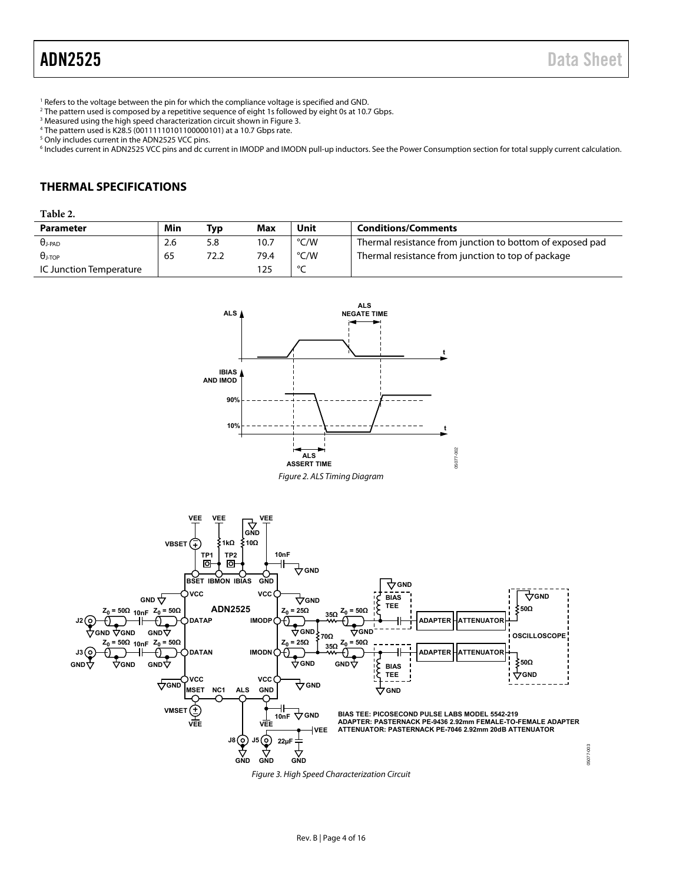<span id="page-3-2"></span><sup>1</sup> Refers to the voltage between the pin for which the compliance voltage is specified and GND.<br><sup>2</sup> The pattern used is composed by a repetitive sequence of eight 1s followed by eight 0s at 10.7

<sup>2</sup> The pattern used is composed by a repetitive sequence of eight 1s followed by eight 0s at 10.7 Gbps. <sup>3</sup> Measured using the high speed characterization circuit shown in Figure 3.

- $^3$  Measured using the high speed characterization circuit shown in Figure 3.<br>4 The pattern used is K28.5 (00111110101100000101) at a 10.7 Ghns rate.
- $^4$  The pattern used is K28.5 (00111110101100000101) at a 10.7 Gbps rate.<br><sup>5</sup> Only includes current in the ADN2525 VCC pins

<sup>5</sup> Only includes current in the ADN2525 VCC pins.

<sup>6</sup> Includes current in ADN2525 VCC pins and dc current in IMODP and IMODN pull-up inductors. See th[e Power Consumption s](#page-11-1)ection for total supply current calculation.

## <span id="page-3-0"></span>**THERMAL SPECIFICATIONS**

#### <span id="page-3-4"></span>**Table 2.**

| <b>Parameter</b>        | Min | Typ  | <b>Max</b> | Unit   | <b>Conditions/Comments</b>                                |
|-------------------------|-----|------|------------|--------|-----------------------------------------------------------|
| $\theta$ J-PAD          | 2.6 | 5.8  | 10.7       | °C/W   | Thermal resistance from junction to bottom of exposed pad |
| $\theta$ j-top          | 65  | 72.2 | 79.4       | °C/W   | Thermal resistance from junction to top of package        |
| IC Junction Temperature |     |      | 25         | $\sim$ |                                                           |

<span id="page-3-3"></span><span id="page-3-1"></span>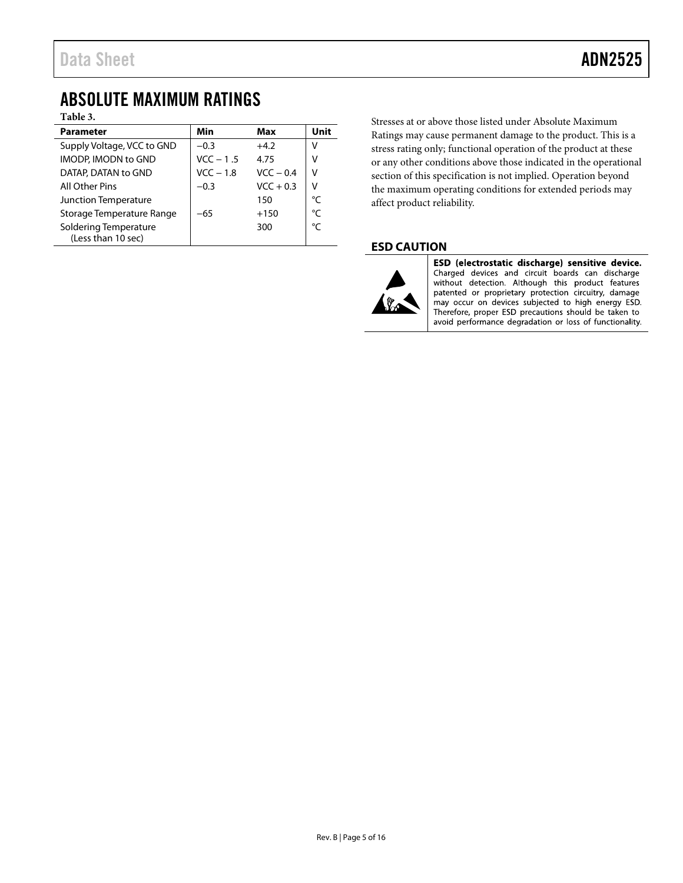## <span id="page-4-0"></span>ABSOLUTE MAXIMUM RATINGS

**Table 3.** 

| <b>Parameter</b>                            | Min         | Max         | Unit |
|---------------------------------------------|-------------|-------------|------|
| Supply Voltage, VCC to GND                  | $-0.3$      | $+4.2$      | V    |
| <b>IMODP, IMODN to GND</b>                  | $VCC - 1.5$ | 4.75        | v    |
| DATAP, DATAN to GND                         | $VCC - 1.8$ | $VCC - 0.4$ | V    |
| All Other Pins                              | $-0.3$      | $VCC + 0.3$ | ٧    |
| Junction Temperature                        |             | 150         | °C   |
| Storage Temperature Range                   | $-65$       | $+150$      | °C   |
| Soldering Temperature<br>(Less than 10 sec) |             | 300         | °C   |

Stresses at or above those listed under Absolute Maximum Ratings may cause permanent damage to the product. This is a stress rating only; functional operation of the product at these or any other conditions above those indicated in the operational section of this specification is not implied. Operation beyond the maximum operating conditions for extended periods may affect product reliability.

### <span id="page-4-1"></span>**ESD CAUTION**



ESD (electrostatic discharge) sensitive device. Charged devices and circuit boards can discharge without detection. Although this product features patented or proprietary protection circuitry, damage may occur on devices subjected to high energy ESD. Therefore, proper ESD precautions should be taken to avoid performance degradation or loss of functionality.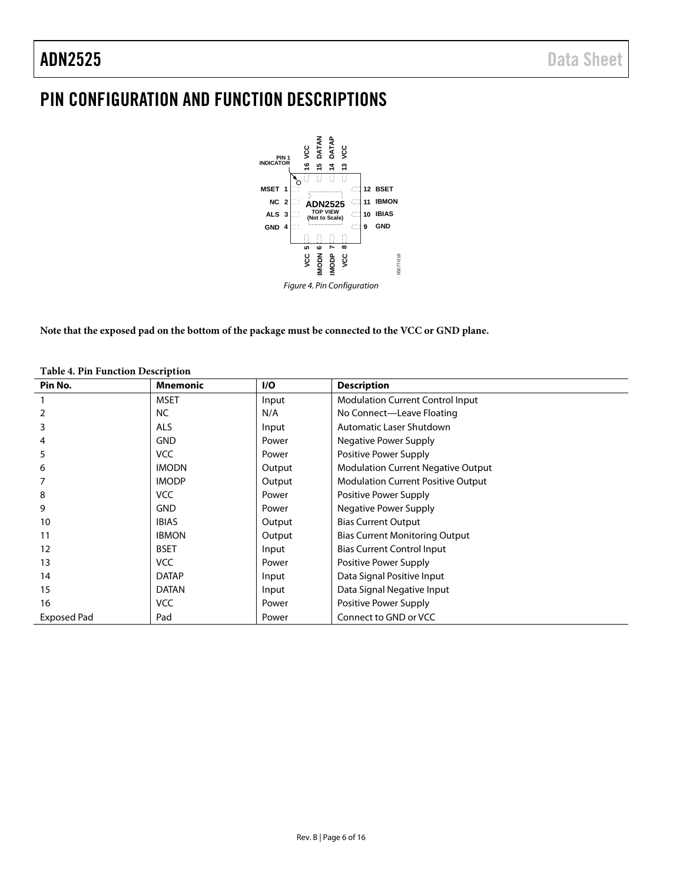# <span id="page-5-0"></span>PIN CONFIGURATION AND FUNCTION DESCRIPTIONS



**Note that the exposed pad on the bottom of the package must be connected to the VCC or GND plane.**

| Pin No.            | <b>Mnemonic</b> | I/O    | <b>Description</b>                        |
|--------------------|-----------------|--------|-------------------------------------------|
|                    | <b>MSET</b>     | Input  | <b>Modulation Current Control Input</b>   |
|                    | NC.             | N/A    | No Connect-Leave Floating                 |
| 3                  | <b>ALS</b>      | Input  | Automatic Laser Shutdown                  |
| 4                  | <b>GND</b>      | Power  | Negative Power Supply                     |
| 5                  | <b>VCC</b>      | Power  | Positive Power Supply                     |
| 6                  | <b>IMODN</b>    | Output | <b>Modulation Current Negative Output</b> |
|                    | <b>IMODP</b>    | Output | <b>Modulation Current Positive Output</b> |
| 8                  | VCC             | Power  | Positive Power Supply                     |
| 9                  | <b>GND</b>      | Power  | Negative Power Supply                     |
| 10                 | <b>IBIAS</b>    | Output | <b>Bias Current Output</b>                |
| 11                 | <b>IBMON</b>    | Output | <b>Bias Current Monitoring Output</b>     |
| 12                 | <b>BSET</b>     | Input  | <b>Bias Current Control Input</b>         |
| 13                 | <b>VCC</b>      | Power  | Positive Power Supply                     |
| 14                 | <b>DATAP</b>    | Input  | Data Signal Positive Input                |
| 15                 | <b>DATAN</b>    | Input  | Data Signal Negative Input                |
| 16                 | VCC             | Power  | Positive Power Supply                     |
| <b>Exposed Pad</b> | Pad             | Power  | Connect to GND or VCC                     |

#### **Table 4. Pin Function Description**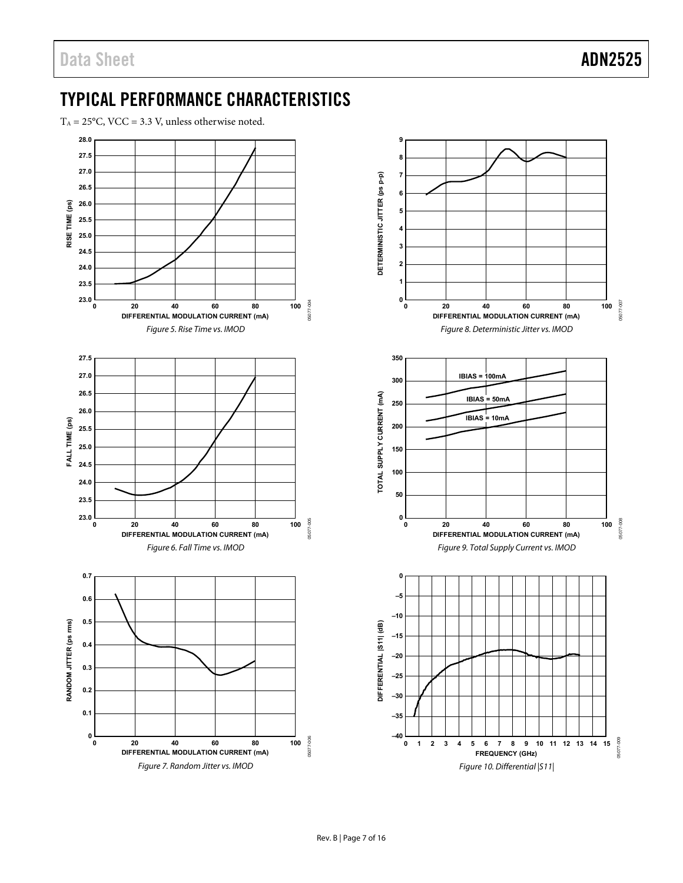# <span id="page-6-0"></span>TYPICAL PERFORMANCE CHARACTERISTICS

 $T_A = 25^{\circ}$ C, VCC = 3.3 V, unless otherwise noted.

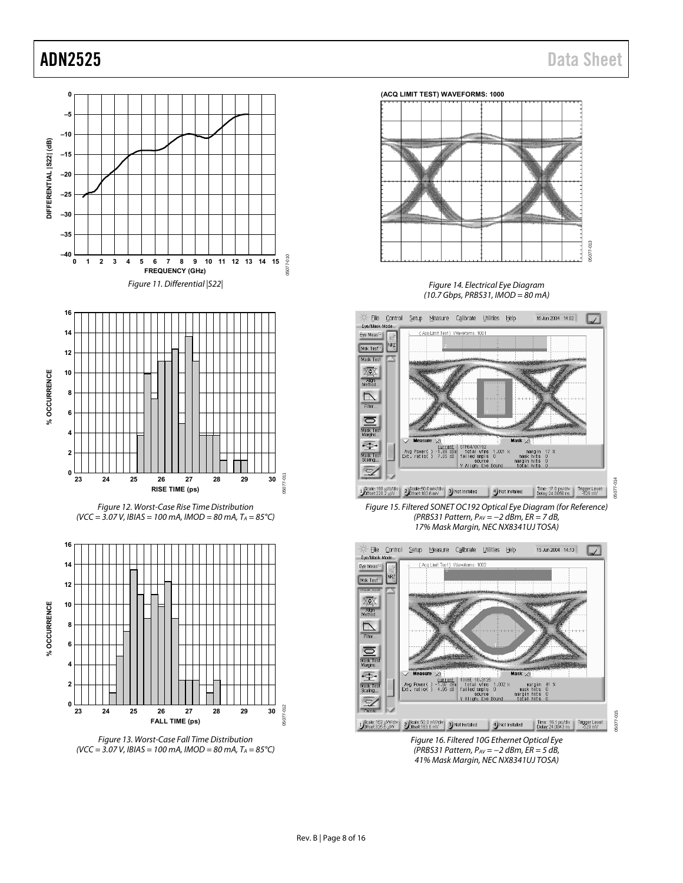05077-014

05077-015







Figure 14. Electrical Eye Diagram (10.7 Gbps, PRBS31, IMOD = 80 mA)



<span id="page-7-0"></span>Figure 15. Filtered SONET OC192 Optical Eye Diagram (for Reference) (PRBS31 Pattern, PAV = −2 dBm, ER = 7 dB, 17% Mask Margin, NEC NX8341UJ TOSA)



<span id="page-7-1"></span>41% Mask Margin, NEC NX8341UJ TOSA)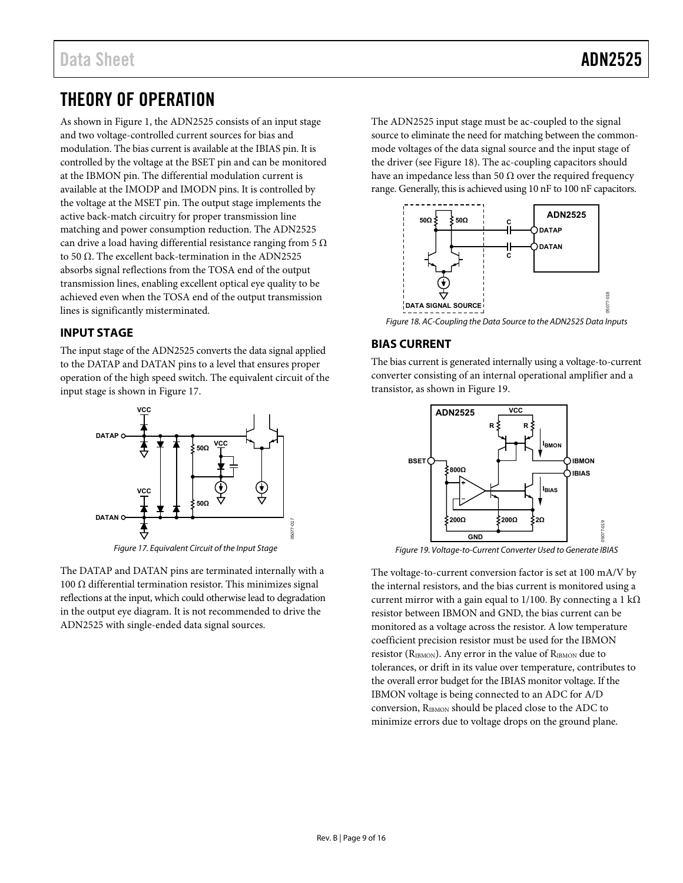# <span id="page-8-0"></span>THEORY OF OPERATION

As shown in [Figure 1,](#page-0-4) the ADN2525 consists of an input stage and two voltage-controlled current sources for bias and modulation. The bias current is available at the IBIAS pin. It is controlled by the voltage at the BSET pin and can be monitored at the IBMON pin. The differential modulation current is available at the IMODP and IMODN pins. It is controlled by the voltage at the MSET pin. The output stage implements the active back-match circuitry for proper transmission line matching and power consumption reduction. The ADN2525 can drive a load having differential resistance ranging from 5  $\Omega$ to 50 Ω. The excellent back-termination in the ADN2525 absorbs signal reflections from the TOSA end of the output transmission lines, enabling excellent optical eye quality to be achieved even when the TOSA end of the output transmission lines is significantly misterminated.

## <span id="page-8-1"></span>**INPUT STAGE**

The input stage of the ADN2525 converts the data signal applied to the DATAP and DATAN pins to a level that ensures proper operation of the high speed switch. The equivalent circuit of the input stage is shown i[n Figure 17.](#page-8-3)



<span id="page-8-3"></span>The DATAP and DATAN pins are terminated internally with a 100 Ω differential termination resistor. This minimizes signal reflections at the input, which could otherwise lead to degradation in the output eye diagram. It is not recommended to drive the

ADN2525 with single-ended data signal sources.

The ADN2525 input stage must be ac-coupled to the signal source to eliminate the need for matching between the commonmode voltages of the data signal source and the input stage of the driver (se[e Figure 18\)](#page-8-4). The ac-coupling capacitors should have an impedance less than 50  $\Omega$  over the required frequency range. Generally, this is achieved using 10 nF to 100 nF capacitors.



## <span id="page-8-4"></span><span id="page-8-2"></span>**BIAS CURRENT**

The bias current is generated internally using a voltage-to-current converter consisting of an internal operational amplifier and a transistor, as shown i[n Figure 19.](#page-8-5) 



<span id="page-8-5"></span>Figure 19. Voltage-to-Current Converter Used to Generate IBIAS

The voltage-to-current conversion factor is set at 100 mA/V by the internal resistors, and the bias current is monitored using a current mirror with a gain equal to 1/100. By connecting a 1 k $\Omega$ resistor between IBMON and GND, the bias current can be monitored as a voltage across the resistor. A low temperature coefficient precision resistor must be used for the IBMON resistor (RIBMON). Any error in the value of RIBMON due to tolerances, or drift in its value over temperature, contributes to the overall error budget for the IBIAS monitor voltage. If the IBMON voltage is being connected to an ADC for A/D conversion, RIBMON should be placed close to the ADC to minimize errors due to voltage drops on the ground plane.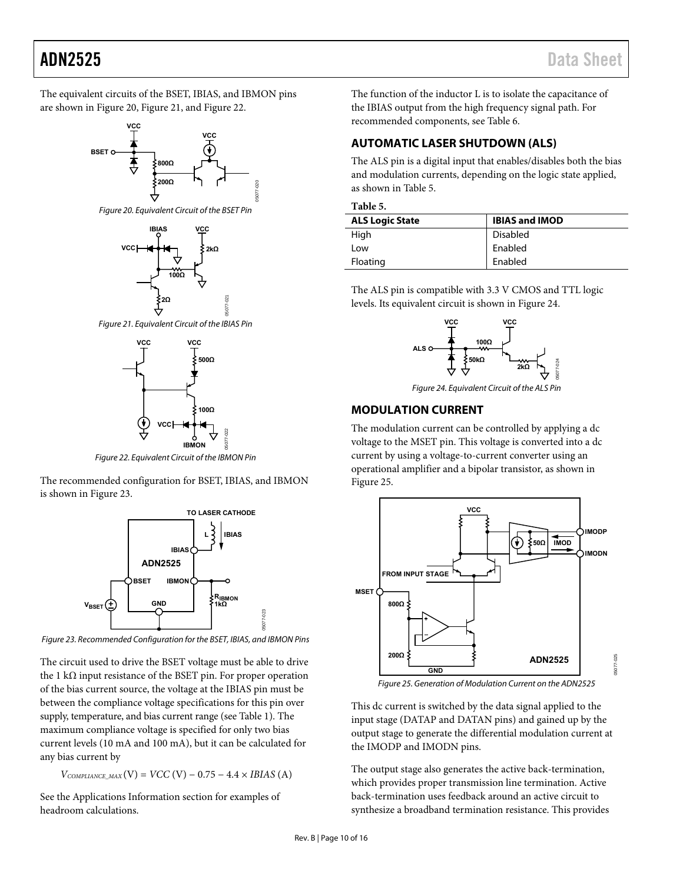The equivalent circuits of the BSET, IBIAS, and IBMON pins are shown i[n Figure 20,](#page-9-2) [Figure 21,](#page-9-3) and [Figure 22.](#page-9-4) 



<span id="page-9-2"></span>



<span id="page-9-3"></span>



Figure 22. Equivalent Circuit of the IBMON Pin

<span id="page-9-4"></span>The recommended configuration for BSET, IBIAS, and IBMON is shown in [Figure 23.](#page-9-5) 



<span id="page-9-5"></span>Figure 23. Recommended Configuration for the BSET, IBIAS, and IBMON Pins

The circuit used to drive the BSET voltage must be able to drive the 1 kΩ input resistance of the BSET pin. For proper operation of the bias current source, the voltage at the IBIAS pin must be between the compliance voltage specifications for this pin over supply, temperature, and bias current range (se[e Table 1\)](#page-2-1). The maximum compliance voltage is specified for only two bias current levels (10 mA and 100 mA), but it can be calculated for any bias current by

 $V_{COMPLIANCE\_MAX}(V) = VCC (V) - 0.75 - 4.4 \times IBIAS (A)$ 

See the [Applications Information s](#page-12-0)ection for examples of headroom calculations.

The function of the inductor L is to isolate the capacitance of the IBIAS output from the high frequency signal path. For recommended components, see [Table 6.](#page-12-3) 

## <span id="page-9-0"></span>**AUTOMATIC LASER SHUTDOWN (ALS)**

The ALS pin is a digital input that enables/disables both the bias and modulation currents, depending on the logic state applied, as shown i[n Table 5.](#page-9-6) 

<span id="page-9-6"></span>

| <b>ALS Logic State</b> | <b>IBIAS and IMOD</b> |
|------------------------|-----------------------|
| High                   | <b>Disabled</b>       |
| Low                    | Enabled               |
| Floating               | Enabled               |

The ALS pin is compatible with 3.3 V CMOS and TTL logic levels. Its equivalent circuit is shown i[n Figure 24.](#page-9-7)



Figure 24. Equivalent Circuit of the ALS Pin

## <span id="page-9-7"></span><span id="page-9-1"></span>**MODULATION CURRENT**

The modulation current can be controlled by applying a dc voltage to the MSET pin. This voltage is converted into a dc current by using a voltage-to-current converter using an operational amplifier and a bipolar transistor, as shown in [Figure 25.](#page-9-8) 



Figure 25. Generation of Modulation Current on the ADN2525

05077-025

85 **12094** 

<span id="page-9-8"></span>This dc current is switched by the data signal applied to the input stage (DATAP and DATAN pins) and gained up by the output stage to generate the differential modulation current at the IMODP and IMODN pins.

The output stage also generates the active back-termination, which provides proper transmission line termination. Active back-termination uses feedback around an active circuit to synthesize a broadband termination resistance. This provides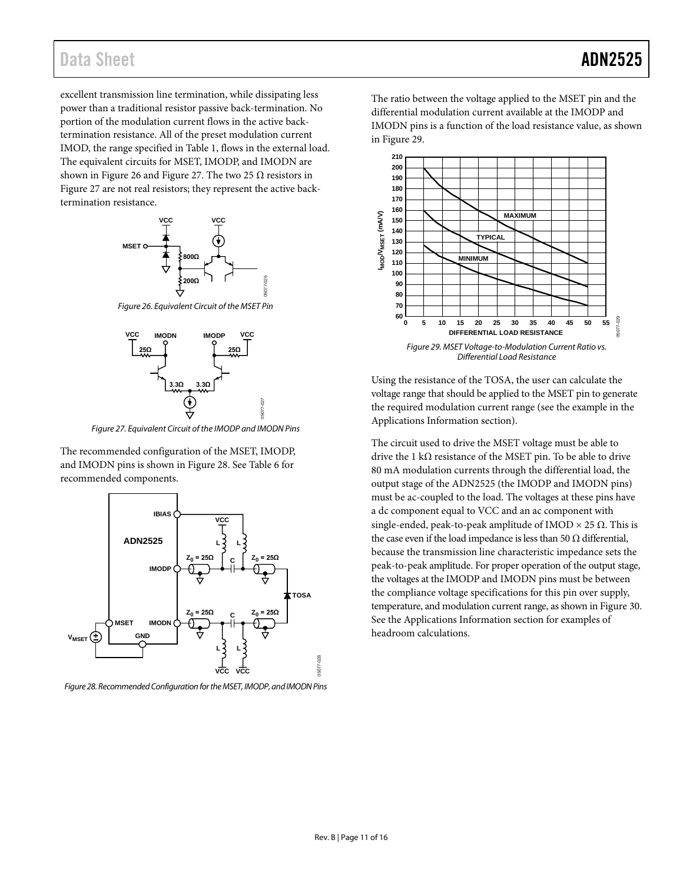## Data Sheet **ADN2525**

excellent transmission line termination, while dissipating less power than a traditional resistor passive back-termination. No portion of the modulation current flows in the active backtermination resistance. All of the preset modulation current IMOD, the range specified in [Table 1,](#page-2-1) flows in the external load. The equivalent circuits for MSET, IMODP, and IMODN are shown in [Figure 26](#page-10-1) and [Figure 27.](#page-10-2) The two 25  $\Omega$  resistors in [Figure 27](#page-10-2) are not real resistors; they represent the active backtermination resistance.



<span id="page-10-1"></span>*Figure 26. Equivalent Circuit of the MSET Pin*



*Figure 27. Equivalent Circuit of the IMODP and IMODN Pins*

05077-027

<span id="page-10-2"></span>The recommended configuration of the MSET, IMODP, and IMODN pins is shown i[n Figure 28.](#page-10-3) Se[e Table 6](#page-12-3) for recommended components.



<span id="page-10-3"></span>*Figure 28. Recommended Configuration for the MSET, IMODP, and IMODN Pins*

The ratio between the voltage applied to the MSET pin and the differential modulation current available at the IMODP and IMODN pins is a function of the load resistance value, as shown in [Figure 29.](#page-10-0)



<span id="page-10-0"></span>Using the resistance of the TOSA, the user can calculate the voltage range that should be applied to the MSET pin to generate the required modulation current range (see the example in the [Applications Information](#page-12-0) section).

The circuit used to drive the MSET voltage must be able to drive the 1 k $\Omega$  resistance of the MSET pin. To be able to drive 80 mA modulation currents through the differential load, the output stage of the ADN2525 (the IMODP and IMODN pins) must be ac-coupled to the load. The voltages at these pins have a dc component equal to VCC and an ac component with single-ended, peak-to-peak amplitude of IMOD  $\times$  25  $\Omega$ . This is the case even if the load impedance is less than 50  $\Omega$  differential, because the transmission line characteristic impedance sets the peak-to-peak amplitude. For proper operation of the output stage, the voltages at the IMODP and IMODN pins must be between the compliance voltage specifications for this pin over supply, temperature, and modulation current range, as shown i[n Figure 30.](#page-11-2)  See the [Applications Information](#page-12-0) section for examples of headroom calculations.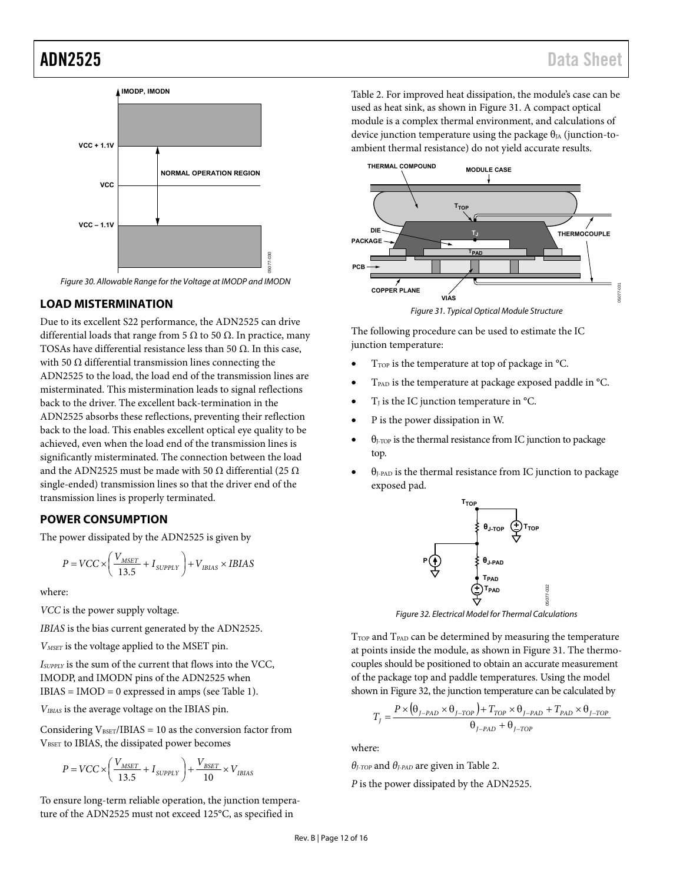

<span id="page-11-2"></span>Figure 30. Allowable Range for the Voltage at IMODP and IMODN

#### <span id="page-11-0"></span>**LOAD MISTERMINATION**

Due to its excellent S22 performance, the ADN2525 can drive differential loads that range from 5  $\Omega$  to 50  $\Omega$ . In practice, many TOSAs have differential resistance less than 50  $\Omega$ . In this case, with 50  $\Omega$  differential transmission lines connecting the ADN2525 to the load, the load end of the transmission lines are misterminated. This mistermination leads to signal reflections back to the driver. The excellent back-termination in the ADN2525 absorbs these reflections, preventing their reflection back to the load. This enables excellent optical eye quality to be achieved, even when the load end of the transmission lines is significantly misterminated. The connection between the load and the ADN2525 must be made with 50  $\Omega$  differential (25  $\Omega$ ) single-ended) transmission lines so that the driver end of the transmission lines is properly terminated.

### <span id="page-11-1"></span>**POWER CONSUMPTION**

The power dissipated by the ADN2525 is given by

$$
P = VCC \times \left(\frac{V_{MSET}}{13.5} + I_{SUPPLY}\right) + V_{IBIAS} \times IBIAS
$$

where:

*VCC* is the power supply voltage.

*IBIAS* is the bias current generated by the ADN2525.

*VMSET* is the voltage applied to the MSET pin.

*ISUPPLY* is the sum of the current that flows into the VCC, IMODP, and IMODN pins of the ADN2525 when IBIAS = IMOD = 0 expressed in amps (see [Table 1\)](#page-2-1).

*VIBIAS* is the average voltage on the IBIAS pin.

Considering  $V_{\text{BSET}}/IBIAS = 10$  as the conversion factor from VBSET to IBIAS, the dissipated power becomes

$$
P=VCC\times\left(\frac{V_{MSET}}{13.5}+I_{\textit{SUPPLY}}\right)+\frac{V_{BSET}}{10}\times V_{\textit{IBIAS}}
$$

To ensure long-term reliable operation, the junction temperature of the ADN2525 must not exceed 125°C, as specified in

[Table 2.](#page-3-4) For improved heat dissipation, the module's case can be used as heat sink, as shown in [Figure 31.](#page-11-3) A compact optical module is a complex thermal environment, and calculations of device junction temperature using the package  $\theta_{JA}$  (junction-toambient thermal resistance) do not yield accurate results.



<span id="page-11-3"></span>The following procedure can be used to estimate the IC junction temperature:

- T<sub>TOP</sub> is the temperature at top of package in °C.
- TPAD is the temperature at package exposed paddle in °C.
- $T<sub>I</sub>$  is the IC junction temperature in  $^{\circ}$ C.
- P is the power dissipation in W.
- θ<sub>J-TOP</sub> is the thermal resistance from IC junction to package top.
- $\theta$ <sub>J-PAD</sub> is the thermal resistance from IC junction to package exposed pad.



Figure 32. Electrical Model for Thermal Calculations

<span id="page-11-4"></span>T<sub>TOP</sub> and T<sub>PAD</sub> can be determined by measuring the temperature at points inside the module, as shown in [Figure 31.](#page-11-3) The thermocouples should be positioned to obtain an accurate measurement of the package top and paddle temperatures. Using the model shown i[n Figure 32,](#page-11-4) the junction temperature can be calculated by

$$
T_{J} = \frac{P \times (\theta_{J-PAD} \times \theta_{J-TOP}) + T_{TOP} \times \theta_{J-PAD} + T_{PAD} \times \theta_{J-TOP}}{\theta_{J-PAD} + \theta_{J-TOP}}
$$

where:

*θJ-TOP* and *θJ-PAD* are given i[n Table 2.](#page-3-4) 

*P* is the power dissipated by the ADN2525.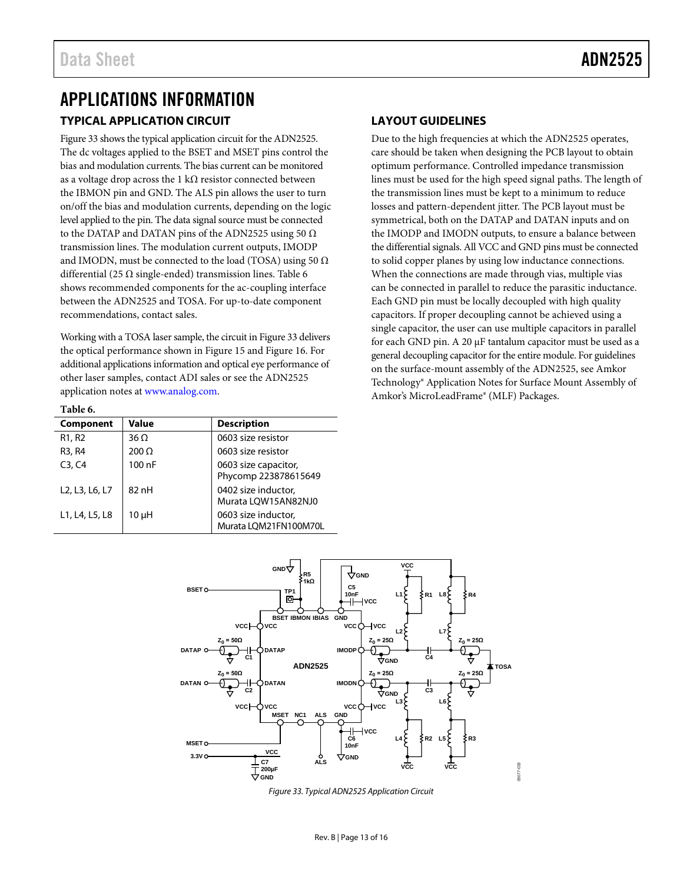# <span id="page-12-1"></span><span id="page-12-0"></span>APPLICATIONS INFORMATION **TYPICAL APPLICATION CIRCUIT**

[Figure 33](#page-12-4) shows the typical application circuit for the ADN2525. The dc voltages applied to the BSET and MSET pins control the bias and modulation currents. The bias current can be monitored as a voltage drop across the 1 k $\Omega$  resistor connected between the IBMON pin and GND. The ALS pin allows the user to turn on/off the bias and modulation currents, depending on the logic level applied to the pin. The data signal source must be connected to the DATAP and DATAN pins of the ADN2525 using 50  $\Omega$ transmission lines. The modulation current outputs, IMODP and IMODN, must be connected to the load (TOSA) using 50  $\Omega$ differential (25  $\Omega$  single-ended) transmission lines. [Table 6](#page-12-3) shows recommended components for the ac-coupling interface between the ADN2525 and TOSA. For up-to-date component recommendations, contact sales.

Working with a TOSA laser sample, the circuit i[n Figure 33](#page-12-4) delivers the optical performance shown in [Figure 15](#page-7-0) an[d Figure 16.](#page-7-1) For additional applications information and optical eye performance of other laser samples, contact ADI sales or see the ADN2525 application notes at [www.analog.com.](http://www.analog.com/)

## <span id="page-12-2"></span>**LAYOUT GUIDELINES**

Due to the high frequencies at which the ADN2525 operates, care should be taken when designing the PCB layout to obtain optimum performance. Controlled impedance transmission lines must be used for the high speed signal paths. The length of the transmission lines must be kept to a minimum to reduce losses and pattern-dependent jitter. The PCB layout must be symmetrical, both on the DATAP and DATAN inputs and on the IMODP and IMODN outputs, to ensure a balance between the differential signals. All VCC and GND pins must be connected to solid copper planes by using low inductance connections. When the connections are made through vias, multiple vias can be connected in parallel to reduce the parasitic inductance. Each GND pin must be locally decoupled with high quality capacitors. If proper decoupling cannot be achieved using a single capacitor, the user can use multiple capacitors in parallel for each GND pin. A 20 µF tantalum capacitor must be used as a general decoupling capacitor for the entire module. For guidelines on the surface-mount assembly of the ADN2525, see Amkor Technology® Application Notes for Surface Mount Assembly of Amkor's MicroLeadFrame® (MLF) Packages.

#### <span id="page-12-3"></span>**Table 6.**

| Component                                                         | Value        | <b>Description</b>                           |
|-------------------------------------------------------------------|--------------|----------------------------------------------|
| R <sub>1</sub> , R <sub>2</sub>                                   | $36 \Omega$  | 0603 size resistor                           |
| R <sub>3</sub> , R <sub>4</sub>                                   | $200 \Omega$ | 0603 size resistor                           |
| C3, C4                                                            | 100 nF       | 0603 size capacitor,<br>Phycomp 223878615649 |
| L <sub>2</sub> , L <sub>3</sub> , L <sub>6</sub> , L <sub>7</sub> | 82nH         | 0402 size inductor,<br>Murata LQW15AN82NJ0   |
| L1, L4, L5, L8                                                    | 10 µH        | 0603 size inductor,<br>Murata LQM21FN100M70L |



<span id="page-12-4"></span>*Figure 33. Typical ADN2525 Application Circuit*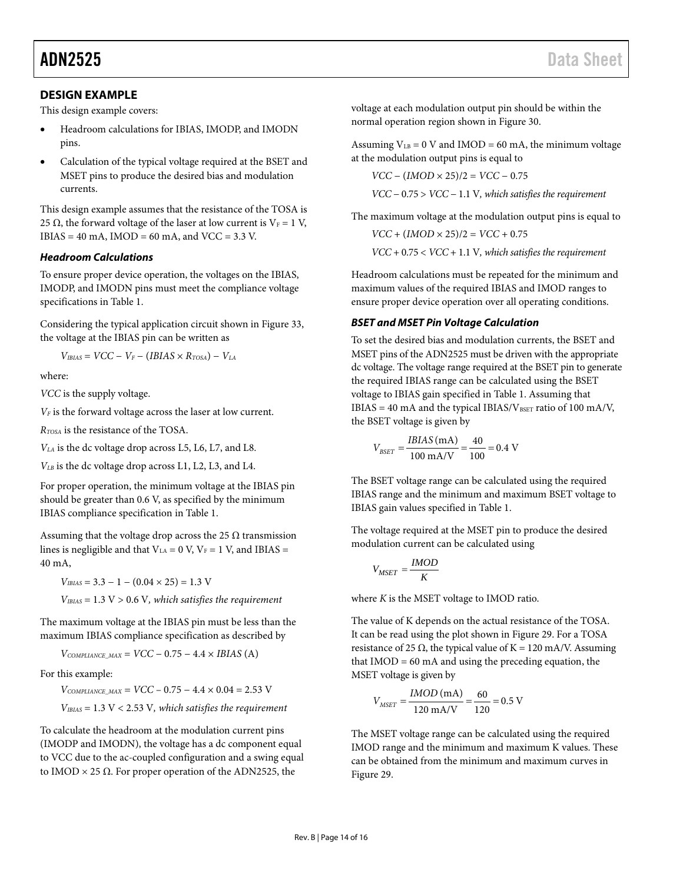### <span id="page-13-0"></span>**DESIGN EXAMPLE**

This design example covers:

- Headroom calculations for IBIAS, IMODP, and IMODN pins.
- Calculation of the typical voltage required at the BSET and MSET pins to produce the desired bias and modulation currents.

This design example assumes that the resistance of the TOSA is 25  $\Omega$ , the forward voltage of the laser at low current is V<sub>F</sub> = 1 V,  $IBIAS = 40 \text{ mA}$ ,  $IMOD = 60 \text{ mA}$ , and  $VCC = 3.3 \text{ V}$ .

#### *Headroom Calculations*

To ensure proper device operation, the voltages on the IBIAS, IMODP, and IMODN pins must meet the compliance voltage specifications i[n Table 1.](#page-2-1) 

Considering the typical application circuit shown in [Figure 33,](#page-12-4)  the voltage at the IBIAS pin can be written as

 $V_{IBIAS} = VCC - V_F - (IBIAS \times R_{TOSA}) - V_{LA}$ 

where:

*VCC* is the supply voltage.

*VF* is the forward voltage across the laser at low current.

*RTOSA* is the resistance of the TOSA.

*VLA* is the dc voltage drop across L5, L6, L7, and L8.

*VLB* is the dc voltage drop across L1, L2, L3, and L4.

For proper operation, the minimum voltage at the IBIAS pin should be greater than 0.6 V, as specified by the minimum IBIAS compliance specification i[n Table 1.](#page-2-1) 

Assuming that the voltage drop across the 25  $\Omega$  transmission lines is negligible and that  $V_{LA} = 0$  V,  $V_F = 1$  V, and IBIAS = 40 mA,

 $V_{IBIAS} = 3.3 - 1 - (0.04 \times 25) = 1.3$  V

*VIBIAS* = 1.3 V > 0.6 V*, which satisfies the requirement*

The maximum voltage at the IBIAS pin must be less than the maximum IBIAS compliance specification as described by

 $V_{COMPLIANCE\_MAX} = VCC - 0.75 - 4.4 \times IBIAS$  (A)

For this example:

 $V_{COMPLIANCE\_MAX}$  =  $VCC - 0.75 - 4.4 \times 0.04 = 2.53$  V

*VIBIAS* = 1.3 V < 2.53 V*, which satisfies the requirement*

To calculate the headroom at the modulation current pins (IMODP and IMODN), the voltage has a dc component equal to VCC due to the ac-coupled configuration and a swing equal to IMOD  $\times$  25  $\Omega$ . For proper operation of the ADN2525, the

voltage at each modulation output pin should be within the normal operation region shown i[n Figure 30.](#page-11-2)

Assuming  $V_{LB} = 0$  V and IMOD = 60 mA, the minimum voltage at the modulation output pins is equal to

*VCC* − (*IMOD* × 25)/2 = *VCC* − 0.75

*VCC* − 0.75 > *VCC* − 1.1 V*, which satisfies the requirement*

The maximum voltage at the modulation output pins is equal to

 $VCC + (IMOD \times 25)/2 = VCC + 0.75$ 

*VCC* + 0.75 < *VCC* + 1.1 V*, which satisfies the requirement*

Headroom calculations must be repeated for the minimum and maximum values of the required IBIAS and IMOD ranges to ensure proper device operation over all operating conditions.

#### *BSET and MSET Pin Voltage Calculation*

To set the desired bias and modulation currents, the BSET and MSET pins of the ADN2525 must be driven with the appropriate dc voltage. The voltage range required at the BSET pin to generate the required IBIAS range can be calculated using the BSET voltage to IBIAS gain specified in [Table 1.](#page-2-1) Assuming that  $IBIAS = 40 \text{ mA}$  and the typical IBIAS/V<sub>BSET</sub> ratio of 100 mA/V, the BSET voltage is given by

$$
V_{BSET} = \frac{IBIAS \text{ (mA)}}{100 \text{ mA/V}} = \frac{40}{100} = 0.4 \text{ V}
$$

The BSET voltage range can be calculated using the required IBIAS range and the minimum and maximum BSET voltage to IBIAS gain values specified i[n Table 1.](#page-2-1)

The voltage required at the MSET pin to produce the desired modulation current can be calculated using

$$
V_{MSET} = \frac{IMOD}{K}
$$

where *K* is the MSET voltage to IMOD ratio.

The value of K depends on the actual resistance of the TOSA. It can be read using the plot shown i[n Figure 29.](#page-10-0) For a TOSA resistance of 25  $\Omega$ , the typical value of K = 120 mA/V. Assuming that  $IMOD = 60$  mA and using the preceding equation, the MSET voltage is given by

$$
V_{MSET} = \frac{IMOD \text{ (mA)}}{120 \text{ mA/V}} = \frac{60}{120} = 0.5 \text{ V}
$$

The MSET voltage range can be calculated using the required IMOD range and the minimum and maximum K values. These can be obtained from the minimum and maximum curves in [Figure 29.](#page-10-0)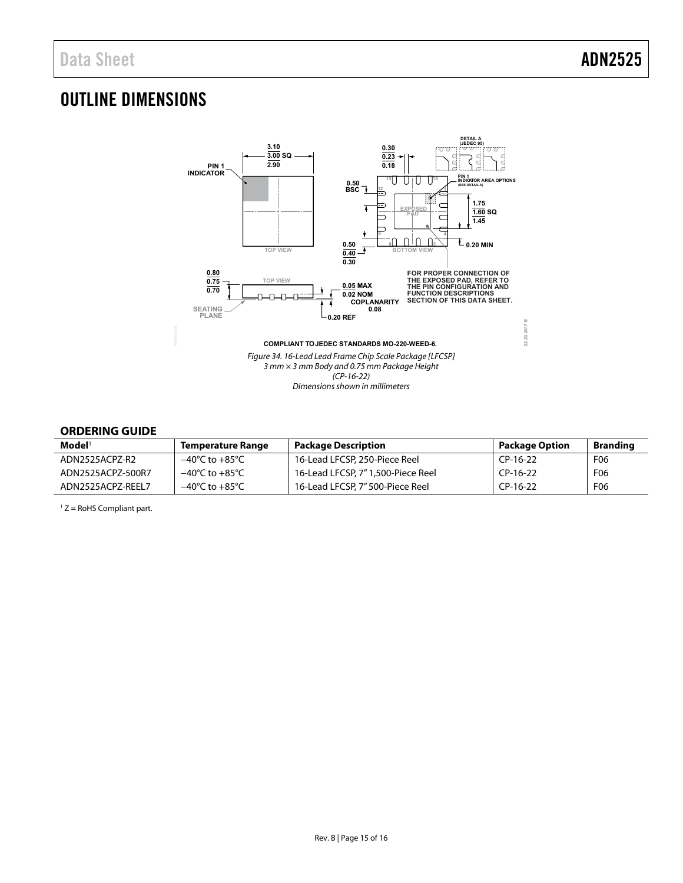# <span id="page-14-0"></span>OUTLINE DIMENSIONS



## <span id="page-14-1"></span>**ORDERING GUIDE**

| $\mathbf{Model}^1$ | <b>Temperature Range</b>           | <b>Package Description</b>        | <b>Package Option</b> | <b>Branding</b> |
|--------------------|------------------------------------|-----------------------------------|-----------------------|-----------------|
| ADN2525ACPZ-R2     | $-40^{\circ}$ C to $+85^{\circ}$ C | 16-Lead LFCSP, 250-Piece Reel     | CP-16-22              | F <sub>06</sub> |
| ADN2525ACPZ-500R7  | $-40^{\circ}$ C to $+85^{\circ}$ C | 16-Lead LFCSP, 7"1,500-Piece Reel | CP-16-22              | F <sub>06</sub> |
| ADN2525ACPZ-REEL7  | $-40^{\circ}$ C to $+85^{\circ}$ C | 16-Lead LFCSP, 7" 500-Piece Reel  | CP-16-22              | F06             |

 $1 Z =$  RoHS Compliant part.